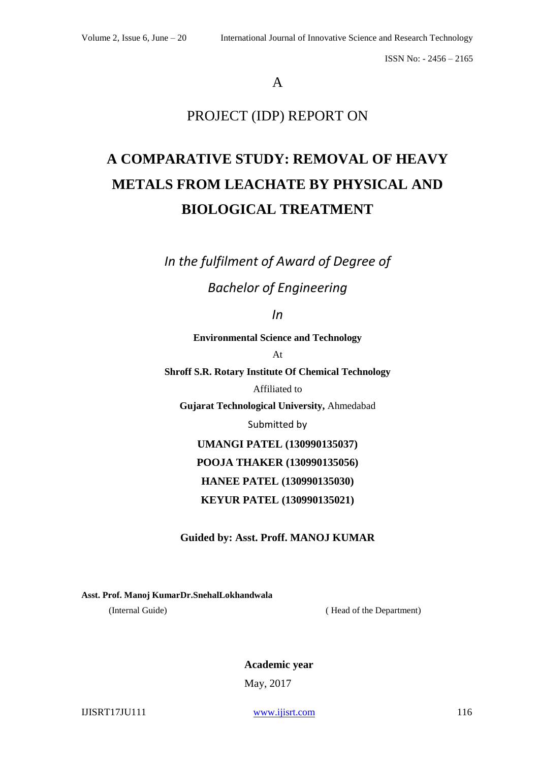## A

## PROJECT (IDP) REPORT ON

# **A COMPARATIVE STUDY: REMOVAL OF HEAVY METALS FROM LEACHATE BY PHYSICAL AND BIOLOGICAL TREATMENT**

*In the fulfilment of Award of Degree of*

## *Bachelor of Engineering*

*In*

**Environmental Science and Technology**

At

**Shroff S.R. Rotary Institute Of Chemical Technology**

Affiliated to

**Gujarat Technological University,** Ahmedabad

Submitted by

**UMANGI PATEL (130990135037) POOJA THAKER (130990135056) HANEE PATEL (130990135030)**

**KEYUR PATEL (130990135021)**

**Guided by: Asst. Proff. MANOJ KUMAR**

**Asst. Prof. Manoj KumarDr.SnehalLokhandwala**

(Internal Guide) ( Head of the Department)

**Academic year** May, 2017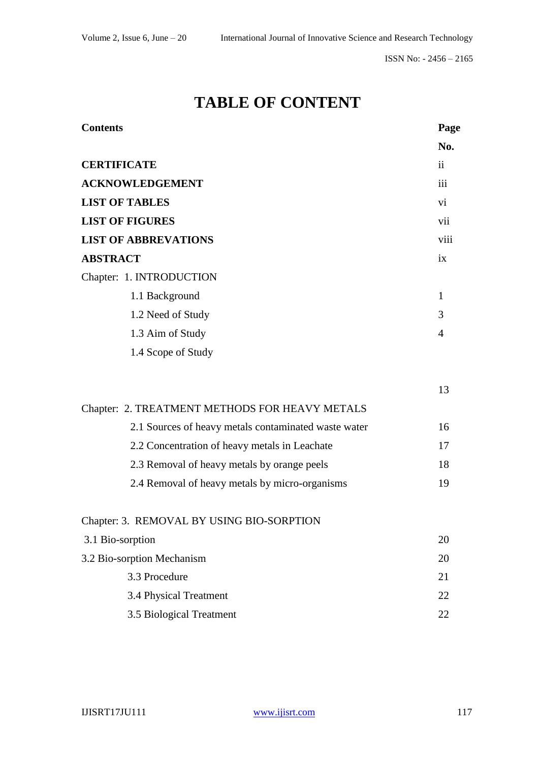# **TABLE OF CONTENT**

| <b>Contents</b>                                      | Page           |
|------------------------------------------------------|----------------|
|                                                      | No.            |
| <b>CERTIFICATE</b>                                   | $\mathbf{ii}$  |
| <b>ACKNOWLEDGEMENT</b>                               | iii            |
| <b>LIST OF TABLES</b>                                | vi             |
| <b>LIST OF FIGURES</b>                               | vii            |
| <b>LIST OF ABBREVATIONS</b>                          | viii           |
| <b>ABSTRACT</b>                                      | ix             |
| Chapter: 1. INTRODUCTION                             |                |
| 1.1 Background                                       | 1              |
| 1.2 Need of Study                                    | 3              |
| 1.3 Aim of Study                                     | $\overline{4}$ |
| 1.4 Scope of Study                                   |                |
|                                                      | 13             |
| Chapter: 2. TREATMENT METHODS FOR HEAVY METALS       |                |
| 2.1 Sources of heavy metals contaminated waste water | 16             |
| 2.2 Concentration of heavy metals in Leachate        | 17             |
| 2.3 Removal of heavy metals by orange peels          | 18             |
| 2.4 Removal of heavy metals by micro-organisms       | 19             |
| Chapter: 3. REMOVAL BY USING BIO-SORPTION            |                |
| 3.1 Bio-sorption                                     | 20             |
| 3.2 Bio-sorption Mechanism                           | 20             |
| 3.3 Procedure                                        | 21             |
| 3.4 Physical Treatment                               | 22             |
| 3.5 Biological Treatment                             | 22             |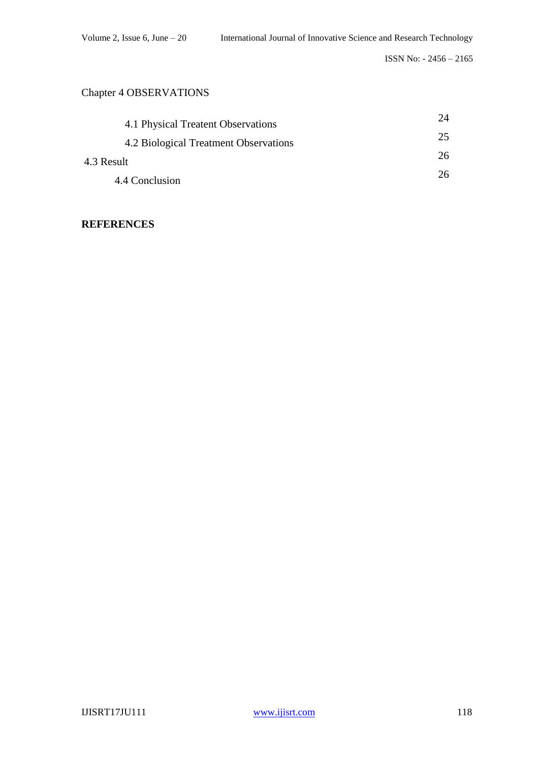### Chapter 4 OBSERVATIONS

| 4.1 Physical Treatent Observations    | 24 |
|---------------------------------------|----|
| 4.2 Biological Treatment Observations | 25 |
| 4.3 Result                            | 26 |
| 4.4 Conclusion                        | 26 |

### **REFERENCES**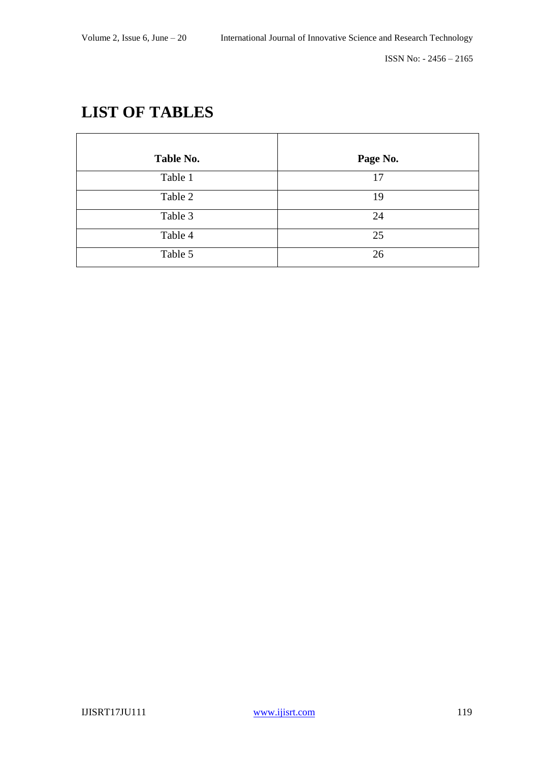# **LIST OF TABLES**

| Table No. | Page No. |
|-----------|----------|
| Table 1   | 17       |
| Table 2   | 19       |
| Table 3   | 24       |
| Table 4   | 25       |
| Table 5   | 26       |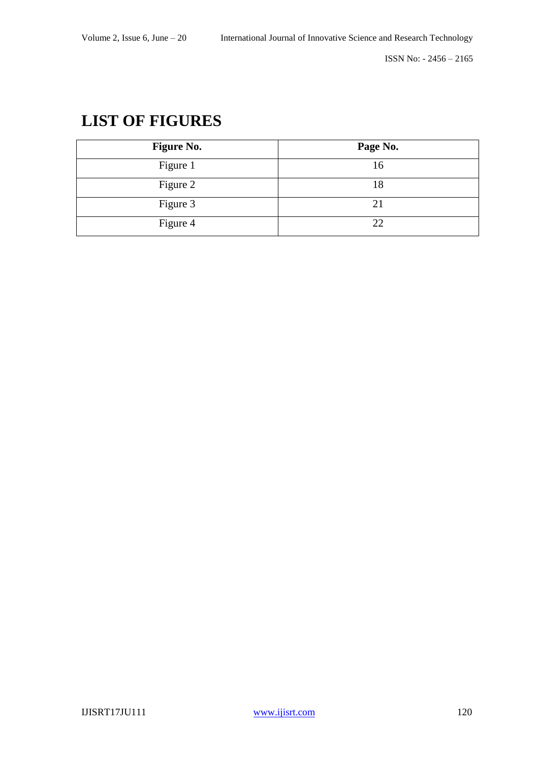# **LIST OF FIGURES**

| <b>Figure No.</b> | Page No. |
|-------------------|----------|
| Figure 1          | 16       |
| Figure 2          | 18       |
| Figure 3          | 21       |
| Figure 4          | 22       |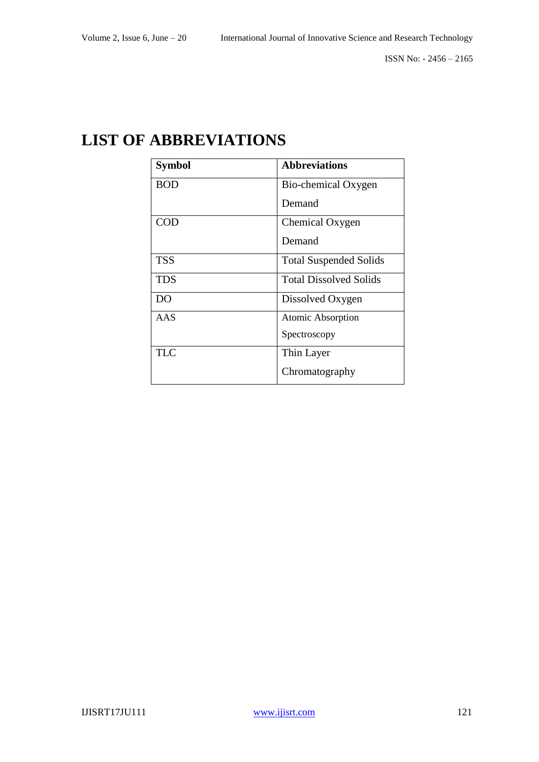# **LIST OF ABBREVIATIONS**

| <b>Symbol</b> | <b>Abbreviations</b>          |
|---------------|-------------------------------|
| <b>BOD</b>    | Bio-chemical Oxygen           |
|               | Demand                        |
| COD           | Chemical Oxygen               |
|               | Demand                        |
| <b>TSS</b>    | <b>Total Suspended Solids</b> |
| <b>TDS</b>    | <b>Total Dissolved Solids</b> |
| DO            | Dissolved Oxygen              |
| AAS           | Atomic Absorption             |
|               | Spectroscopy                  |
| <b>TLC</b>    | Thin Layer                    |
|               | Chromatography                |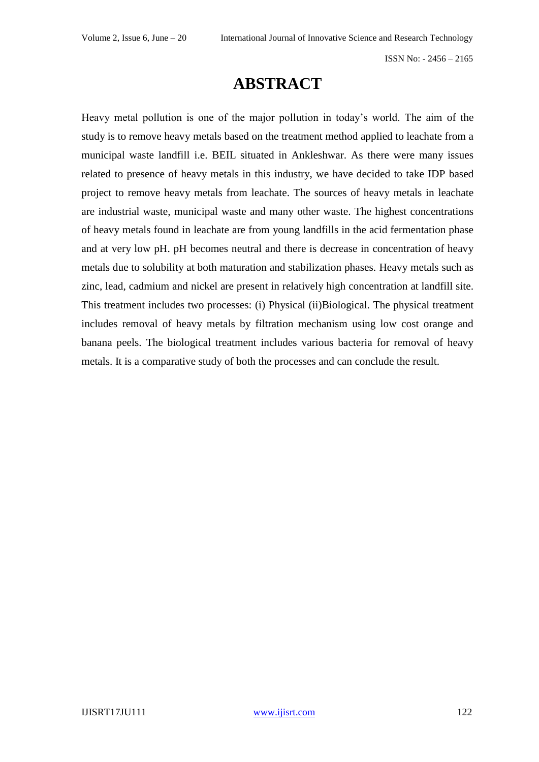# **ABSTRACT**

Heavy metal pollution is one of the major pollution in today's world. The aim of the study is to remove heavy metals based on the treatment method applied to leachate from a municipal waste landfill i.e. BEIL situated in Ankleshwar. As there were many issues related to presence of heavy metals in this industry, we have decided to take IDP based project to remove heavy metals from leachate. The sources of heavy metals in leachate are industrial waste, municipal waste and many other waste. The highest concentrations of heavy metals found in leachate are from young landfills in the acid fermentation phase and at very low pH. pH becomes neutral and there is decrease in concentration of heavy metals due to solubility at both maturation and stabilization phases. Heavy metals such as zinc, lead, cadmium and nickel are present in relatively high concentration at landfill site. This treatment includes two processes: (i) Physical (ii)Biological. The physical treatment includes removal of heavy metals by filtration mechanism using low cost orange and banana peels. The biological treatment includes various bacteria for removal of heavy metals. It is a comparative study of both the processes and can conclude the result.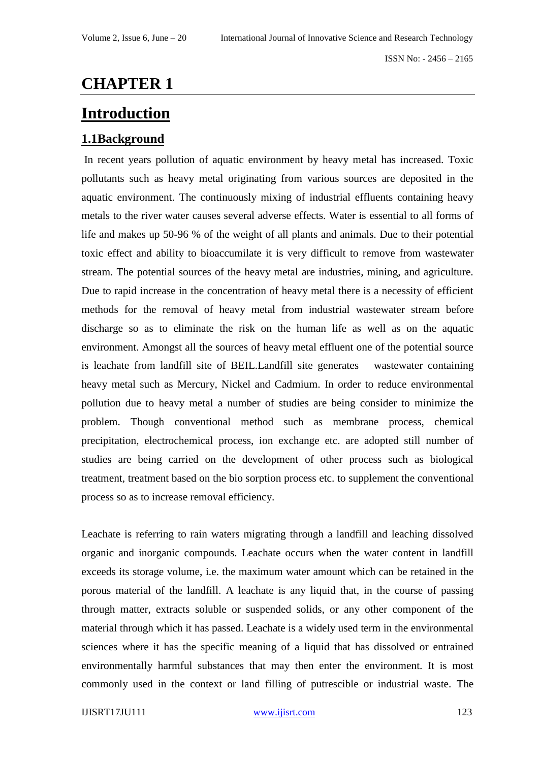# **CHAPTER 1**

# **Introduction**

## **1.1Background**

In recent years pollution of aquatic environment by heavy metal has increased. Toxic pollutants such as heavy metal originating from various sources are deposited in the aquatic environment. The continuously mixing of industrial effluents containing heavy metals to the river water causes several adverse effects. Water is essential to all forms of life and makes up 50-96 % of the weight of all plants and animals. Due to their potential toxic effect and ability to bioaccumilate it is very difficult to remove from wastewater stream. The potential sources of the heavy metal are industries, mining, and agriculture. Due to rapid increase in the concentration of heavy metal there is a necessity of efficient methods for the removal of heavy metal from industrial wastewater stream before discharge so as to eliminate the risk on the human life as well as on the aquatic environment. Amongst all the sources of heavy metal effluent one of the potential source is leachate from landfill site of BEIL.Landfill site generates wastewater containing heavy metal such as Mercury, Nickel and Cadmium. In order to reduce environmental pollution due to heavy metal a number of studies are being consider to minimize the problem. Though conventional method such as membrane process, chemical precipitation, electrochemical process, ion exchange etc. are adopted still number of studies are being carried on the development of other process such as biological treatment, treatment based on the bio sorption process etc. to supplement the conventional process so as to increase removal efficiency.

Leachate is referring to rain waters migrating through a landfill and leaching dissolved organic and inorganic compounds. Leachate occurs when the water content in landfill exceeds its storage volume, i.e. the maximum water amount which can be retained in the porous material of the landfill. A leachate is any liquid that, in the course of passing through matter, extracts soluble or suspended solids, or any other component of the material through which it has passed. Leachate is a widely used term in the environmental sciences where it has the specific meaning of a liquid that has dissolved or entrained environmentally harmful substances that may then enter the environment. It is most commonly used in the context or land filling of putrescible or industrial waste. The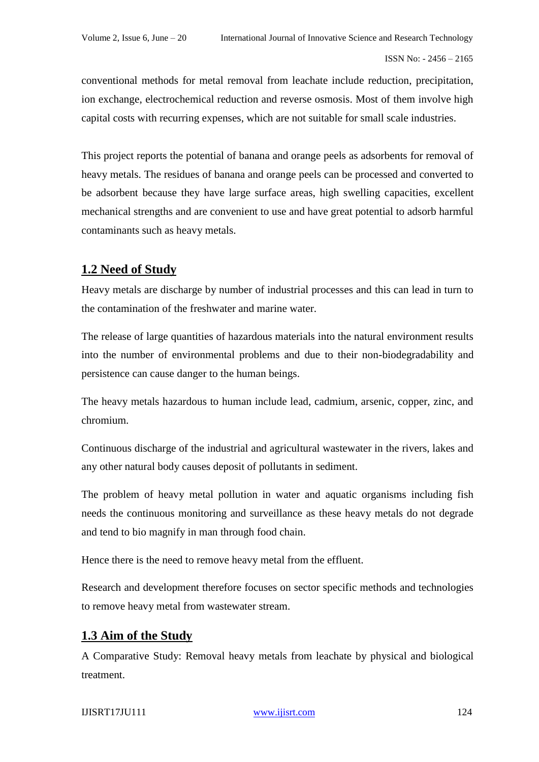conventional methods for metal removal from leachate include reduction, precipitation, ion exchange, electrochemical reduction and reverse osmosis. Most of them involve high capital costs with recurring expenses, which are not suitable for small scale industries.

This project reports the potential of banana and orange peels as adsorbents for removal of heavy metals. The residues of banana and orange peels can be processed and converted to be adsorbent because they have large surface areas, high swelling capacities, excellent mechanical strengths and are convenient to use and have great potential to adsorb harmful contaminants such as heavy metals.

## **1.2 Need of Study**

Heavy metals are discharge by number of industrial processes and this can lead in turn to the contamination of the freshwater and marine water.

The release of large quantities of hazardous materials into the natural environment results into the number of environmental problems and due to their non-biodegradability and persistence can cause danger to the human beings.

The heavy metals hazardous to human include lead, cadmium, arsenic, copper, zinc, and chromium.

Continuous discharge of the industrial and agricultural wastewater in the rivers, lakes and any other natural body causes deposit of pollutants in sediment.

The problem of heavy metal pollution in water and aquatic organisms including fish needs the continuous monitoring and surveillance as these heavy metals do not degrade and tend to bio magnify in man through food chain.

Hence there is the need to remove heavy metal from the effluent.

Research and development therefore focuses on sector specific methods and technologies to remove heavy metal from wastewater stream.

## **1.3 Aim of the Study**

A Comparative Study: Removal heavy metals from leachate by physical and biological treatment.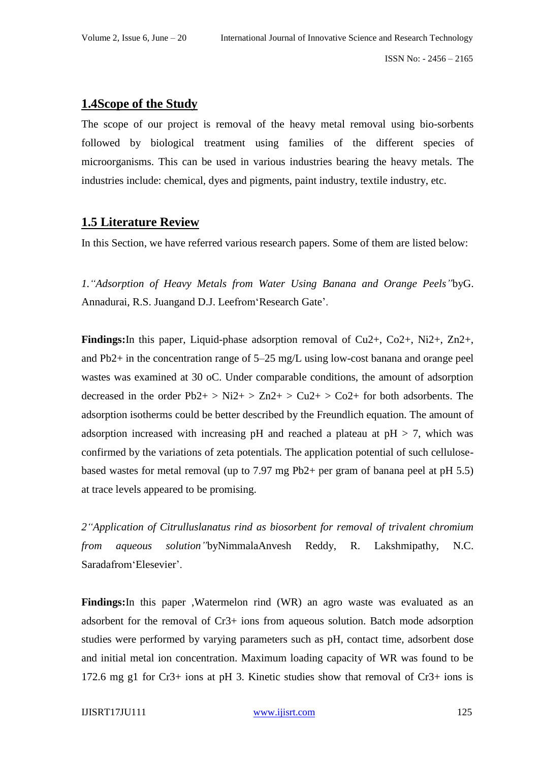#### **1.4Scope of the Study**

The scope of our project is removal of the heavy metal removal using bio-sorbents followed by biological treatment using families of the different species of microorganisms. This can be used in various industries bearing the heavy metals. The industries include: chemical, dyes and pigments, paint industry, textile industry, etc.

#### **1.5 Literature Review**

In this Section, we have referred various research papers. Some of them are listed below:

*1."Adsorption of Heavy Metals from Water Using Banana and Orange Peels"*byG. Annadurai, R.S. Juangand D.J. Leefrom'Research Gate'.

**Findings:**In this paper, Liquid-phase adsorption removal of Cu2+, Co2+, Ni2+, Zn2+, and Pb2+ in the concentration range of 5–25 mg/L using low-cost banana and orange peel wastes was examined at 30 oC. Under comparable conditions, the amount of adsorption decreased in the order  $Pb2+$   $>$  Ni2+  $>$  Zn2+  $>$  Cu2+  $>$  Co2+ for both adsorbents. The adsorption isotherms could be better described by the Freundlich equation. The amount of adsorption increased with increasing pH and reached a plateau at  $pH > 7$ , which was confirmed by the variations of zeta potentials. The application potential of such cellulosebased wastes for metal removal (up to 7.97 mg Pb2+ per gram of banana peel at pH 5.5) at trace levels appeared to be promising.

*2"Application of Citrulluslanatus rind as biosorbent for removal of trivalent chromium from aqueous solution"*byNimmalaAnvesh Reddy, R. Lakshmipathy, N.C. Saradafrom'Elesevier'.

**Findings:**In this paper ,Watermelon rind (WR) an agro waste was evaluated as an adsorbent for the removal of Cr3+ ions from aqueous solution. Batch mode adsorption studies were performed by varying parameters such as pH, contact time, adsorbent dose and initial metal ion concentration. Maximum loading capacity of WR was found to be 172.6 mg g1 for Cr3+ ions at pH 3. Kinetic studies show that removal of Cr3+ ions is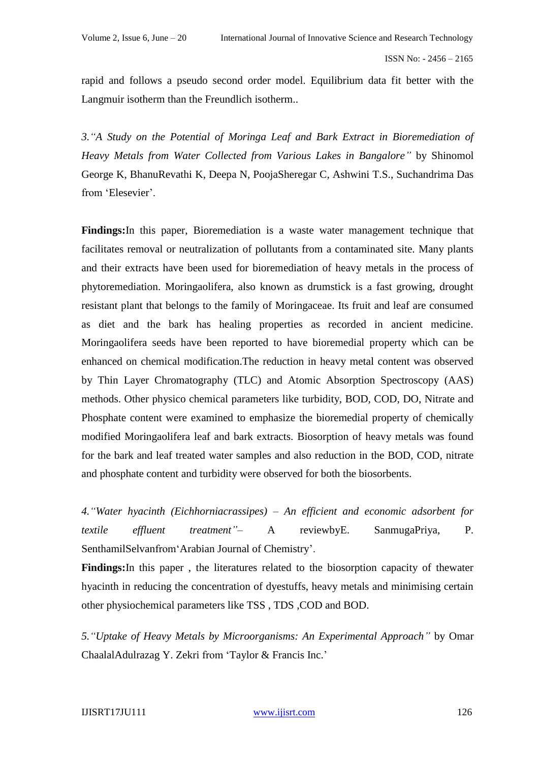rapid and follows a pseudo second order model. Equilibrium data fit better with the Langmuir isotherm than the Freundlich isotherm..

*3."A Study on the Potential of Moringa Leaf and Bark Extract in Bioremediation of Heavy Metals from Water Collected from Various Lakes in Bangalore"* by Shinomol George K, BhanuRevathi K, Deepa N, PoojaSheregar C, Ashwini T.S., Suchandrima Das from 'Elesevier'.

**Findings:**In this paper, Bioremediation is a waste water management technique that facilitates removal or neutralization of pollutants from a contaminated site. Many plants and their extracts have been used for bioremediation of heavy metals in the process of phytoremediation. Moringaolifera, also known as drumstick is a fast growing, drought resistant plant that belongs to the family of Moringaceae. Its fruit and leaf are consumed as diet and the bark has healing properties as recorded in ancient medicine. Moringaolifera seeds have been reported to have bioremedial property which can be enhanced on chemical modification.The reduction in heavy metal content was observed by Thin Layer Chromatography (TLC) and Atomic Absorption Spectroscopy (AAS) methods. Other physico chemical parameters like turbidity, BOD, COD, DO, Nitrate and Phosphate content were examined to emphasize the bioremedial property of chemically modified Moringaolifera leaf and bark extracts. Biosorption of heavy metals was found for the bark and leaf treated water samples and also reduction in the BOD, COD, nitrate and phosphate content and turbidity were observed for both the biosorbents.

*4."Water hyacinth (Eichhorniacrassipes) – An efficient and economic adsorbent for textile effluent treatment"*– A reviewbyE. SanmugaPriya, P. SenthamilSelvanfrom'Arabian Journal of Chemistry'.

**Findings:**In this paper , the literatures related to the biosorption capacity of thewater hyacinth in reducing the concentration of dyestuffs, heavy metals and minimising certain other physiochemical parameters like TSS , TDS ,COD and BOD.

*5."Uptake of Heavy Metals by Microorganisms: An Experimental Approach"* by Omar ChaalalAdulrazag Y. Zekri from 'Taylor & Francis Inc.'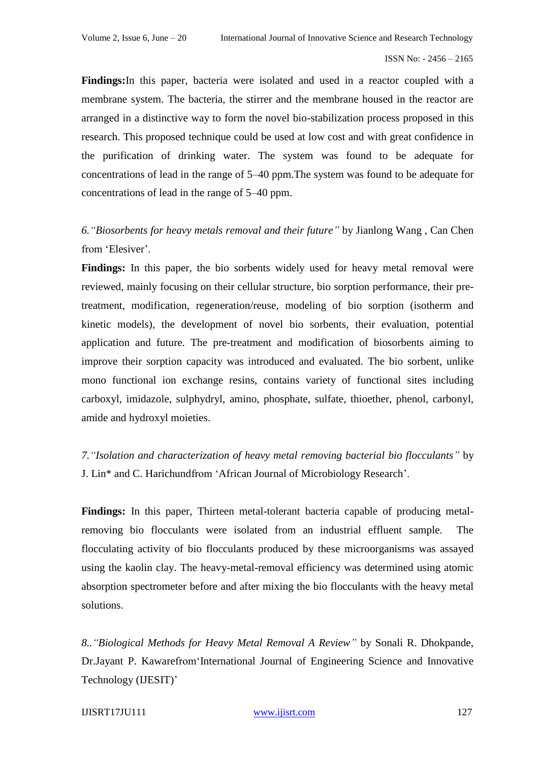**Findings:**In this paper, bacteria were isolated and used in a reactor coupled with a membrane system. The bacteria, the stirrer and the membrane housed in the reactor are arranged in a distinctive way to form the novel bio-stabilization process proposed in this research. This proposed technique could be used at low cost and with great confidence in the purification of drinking water. The system was found to be adequate for concentrations of lead in the range of 5–40 ppm.The system was found to be adequate for concentrations of lead in the range of 5–40 ppm.

*6."Biosorbents for heavy metals removal and their future"* by Jianlong Wang , Can Chen from 'Elesiver'.

**Findings:** In this paper, the bio sorbents widely used for heavy metal removal were reviewed, mainly focusing on their cellular structure, bio sorption performance, their pretreatment, modification, regeneration/reuse, modeling of bio sorption (isotherm and kinetic models), the development of novel bio sorbents, their evaluation, potential application and future. The pre-treatment and modification of biosorbents aiming to improve their sorption capacity was introduced and evaluated. The bio sorbent, unlike mono functional ion exchange resins, contains variety of functional sites including carboxyl, imidazole, sulphydryl, amino, phosphate, sulfate, thioether, phenol, carbonyl, amide and hydroxyl moieties.

*7."Isolation and characterization of heavy metal removing bacterial bio flocculants"* by J. Lin\* and C. Harichundfrom 'African Journal of Microbiology Research'.

**Findings:** In this paper, Thirteen metal-tolerant bacteria capable of producing metalremoving bio flocculants were isolated from an industrial effluent sample. The flocculating activity of bio flocculants produced by these microorganisms was assayed using the kaolin clay. The heavy-metal-removal efficiency was determined using atomic absorption spectrometer before and after mixing the bio flocculants with the heavy metal solutions.

*8.."Biological Methods for Heavy Metal Removal A Review"* by Sonali R. Dhokpande, Dr.Jayant P. Kawarefrom'International Journal of Engineering Science and Innovative Technology (IJESIT)'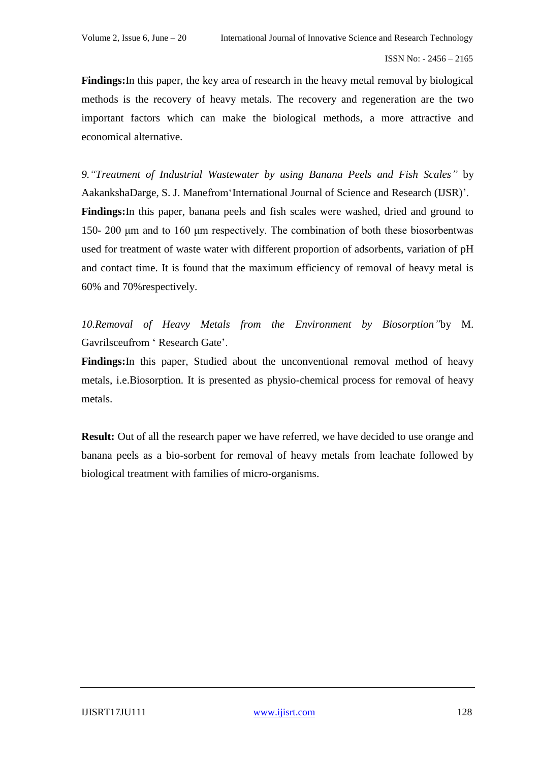**Findings:**In this paper, the key area of research in the heavy metal removal by biological methods is the recovery of heavy metals. The recovery and regeneration are the two important factors which can make the biological methods, a more attractive and economical alternative.

*9."Treatment of Industrial Wastewater by using Banana Peels and Fish Scales"* by AakankshaDarge, S. J. Manefrom'International Journal of Science and Research (IJSR)'. **Findings:**In this paper, banana peels and fish scales were washed, dried and ground to 150- 200 μm and to 160 μm respectively. The combination of both these biosorbentwas used for treatment of waste water with different proportion of adsorbents, variation of pH and contact time. It is found that the maximum efficiency of removal of heavy metal is 60% and 70%respectively.

*10.Removal of Heavy Metals from the Environment by Biosorption"*by M. Gavrilsceufrom ' Research Gate'.

**Findings:**In this paper, Studied about the unconventional removal method of heavy metals, i.e.Biosorption. It is presented as physio-chemical process for removal of heavy metals.

**Result:** Out of all the research paper we have referred, we have decided to use orange and banana peels as a bio-sorbent for removal of heavy metals from leachate followed by biological treatment with families of micro-organisms.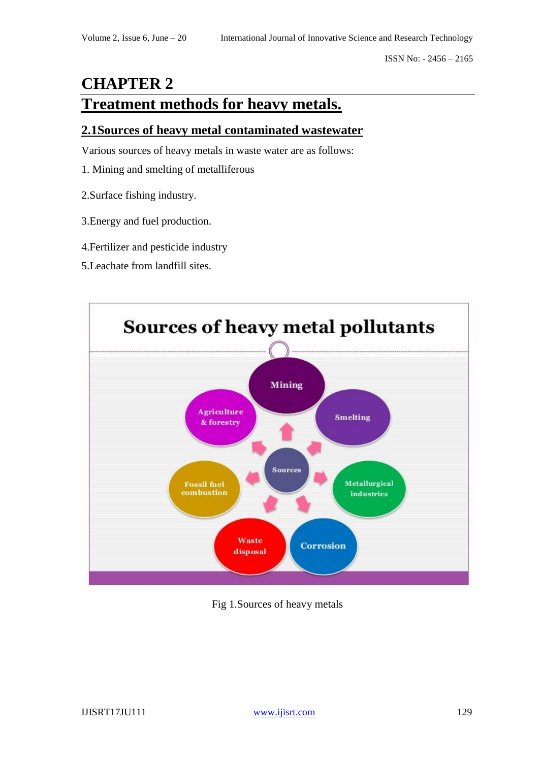# **CHAPTER 2 Treatment methods for heavy metals.**

### **2.1Sources of heavy metal contaminated wastewater**

Various sources of heavy metals in waste water are as follows:

- 1. Mining and smelting of metalliferous
- 2.Surface fishing industry.
- 3.Energy and fuel production.
- 4.Fertilizer and pesticide industry
- 5.Leachate from landfill sites.



Fig 1.Sources of heavy metals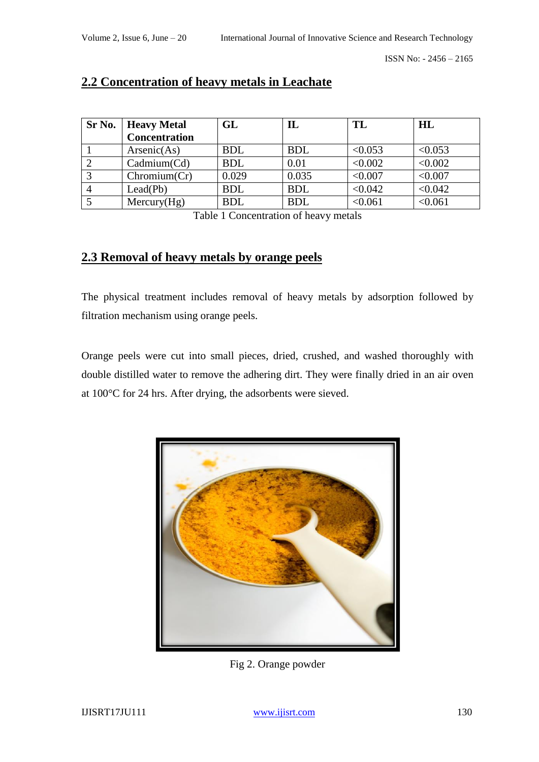| Sr No. | <b>Heavy Metal</b>   | $\mathbf{GL}$ | ${\bf I} {\bf L}$ | TL      | HL      |
|--------|----------------------|---------------|-------------------|---------|---------|
|        | <b>Concentration</b> |               |                   |         |         |
|        | Arsenic(As)          | <b>BDL</b>    | <b>BDL</b>        | < 0.053 | < 0.053 |
|        | Cadmium(Cd)          | <b>BDL</b>    | 0.01              | < 0.002 | < 0.002 |
|        | Chromium(Cr)         | 0.029         | 0.035             | < 0.007 | < 0.007 |
|        | Lead(Pb)             | <b>BDL</b>    | <b>BDL</b>        | < 0.042 | < 0.042 |
|        | Mercury(Hg)          | <b>BDL</b>    | <b>BDL</b>        | < 0.061 | < 0.061 |

### **2.2 Concentration of heavy metals in Leachate**

Table 1 Concentration of heavy metals

## **2.3 Removal of heavy metals by orange peels**

The physical treatment includes removal of heavy metals by adsorption followed by filtration mechanism using orange peels.

Orange peels were cut into small pieces, dried, crushed, and washed thoroughly with double distilled water to remove the adhering dirt. They were finally dried in an air oven at 100°C for 24 hrs. After drying, the adsorbents were sieved.



Fig 2. Orange powder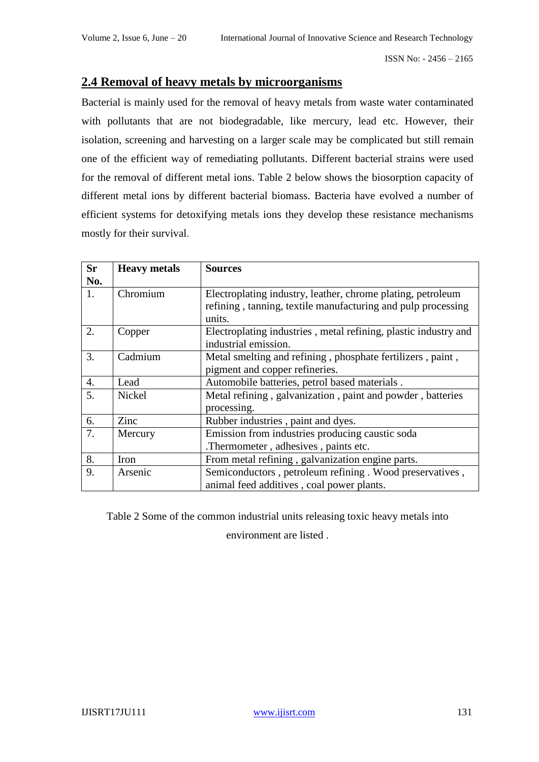### **2.4 Removal of heavy metals by microorganisms**

Bacterial is mainly used for the removal of heavy metals from waste water contaminated with pollutants that are not biodegradable, like mercury, lead etc. However, their isolation, screening and harvesting on a larger scale may be complicated but still remain one of the efficient way of remediating pollutants. Different bacterial strains were used for the removal of different metal ions. Table 2 below shows the biosorption capacity of different metal ions by different bacterial biomass. Bacteria have evolved a number of efficient systems for detoxifying metals ions they develop these resistance mechanisms mostly for their survival.

| <b>Sr</b> | <b>Heavy metals</b> | <b>Sources</b>                                                  |  |  |  |
|-----------|---------------------|-----------------------------------------------------------------|--|--|--|
| No.       |                     |                                                                 |  |  |  |
| 1.        | Chromium            | Electroplating industry, leather, chrome plating, petroleum     |  |  |  |
|           |                     | refining, tanning, textile manufacturing and pulp processing    |  |  |  |
|           |                     | units.                                                          |  |  |  |
| 2.        | Copper              | Electroplating industries, metal refining, plastic industry and |  |  |  |
|           |                     | industrial emission.                                            |  |  |  |
| 3.        | Cadmium             | Metal smelting and refining, phosphate fertilizers, paint,      |  |  |  |
|           |                     | pigment and copper refineries.                                  |  |  |  |
| 4.        | Lead                | Automobile batteries, petrol based materials.                   |  |  |  |
| 5.        | <b>Nickel</b>       | Metal refining, galvanization, paint and powder, batteries      |  |  |  |
|           |                     | processing.                                                     |  |  |  |
| 6.        | Zinc                | Rubber industries, paint and dyes.                              |  |  |  |
| 7.        | Mercury             | Emission from industries producing caustic soda                 |  |  |  |
|           |                     | .Thermometer, adhesives, paints etc.                            |  |  |  |
| 8.        | Iron                | From metal refining, galvanization engine parts.                |  |  |  |
| 9.        | Arsenic             | Semiconductors, petroleum refining. Wood preservatives,         |  |  |  |
|           |                     | animal feed additives, coal power plants.                       |  |  |  |

Table 2 Some of the common industrial units releasing toxic heavy metals into

environment are listed .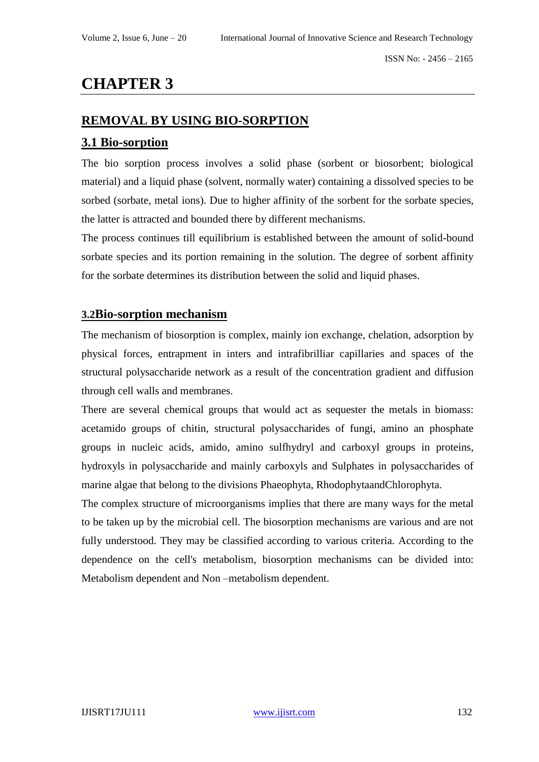# **CHAPTER 3**

### **REMOVAL BY USING BIO-SORPTION**

#### **3.1 Bio-sorption**

The bio sorption process involves a solid phase (sorbent or biosorbent; biological material) and a liquid phase (solvent, normally water) containing a dissolved species to be sorbed (sorbate, metal ions). Due to higher affinity of the sorbent for the sorbate species, the latter is attracted and bounded there by different mechanisms.

The process continues till equilibrium is established between the amount of solid-bound sorbate species and its portion remaining in the solution. The degree of sorbent affinity for the sorbate determines its distribution between the solid and liquid phases.

#### **3.2Bio-sorption mechanism**

The mechanism of biosorption is complex, mainly ion exchange, chelation, adsorption by physical forces, entrapment in inters and intrafibrilliar capillaries and spaces of the structural polysaccharide network as a result of the concentration gradient and diffusion through cell walls and membranes.

There are several chemical groups that would act as sequester the metals in biomass: acetamido groups of chitin, structural polysaccharides of fungi, amino an phosphate groups in nucleic acids, amido, amino sulfhydryl and carboxyl groups in proteins, hydroxyls in polysaccharide and mainly carboxyls and Sulphates in polysaccharides of marine algae that belong to the divisions Phaeophyta, RhodophytaandChlorophyta.

The complex structure of microorganisms implies that there are many ways for the metal to be taken up by the microbial cell. The biosorption mechanisms are various and are not fully understood. They may be classified according to various criteria. According to the dependence on the cell's metabolism, biosorption mechanisms can be divided into: Metabolism dependent and Non –metabolism dependent.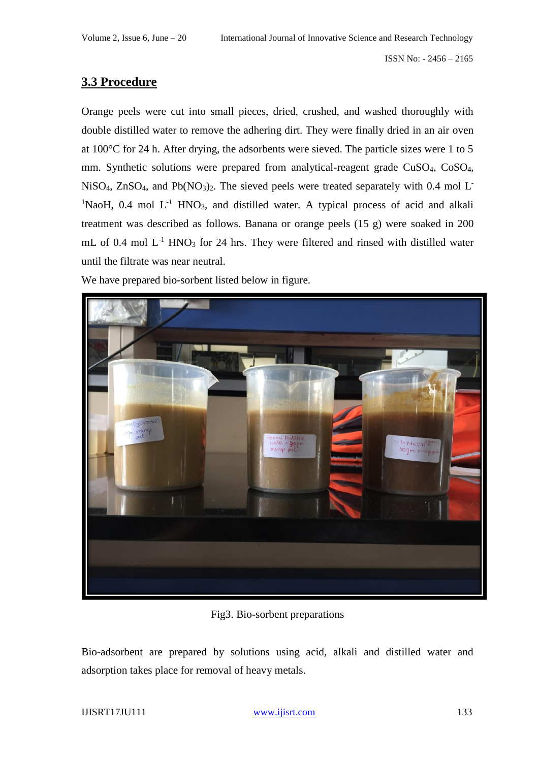### **3.3 Procedure**

Orange peels were cut into small pieces, dried, crushed, and washed thoroughly with double distilled water to remove the adhering dirt. They were finally dried in an air oven at 100°C for 24 h. After drying, the adsorbents were sieved. The particle sizes were 1 to 5 mm. Synthetic solutions were prepared from analytical-reagent grade CuSO<sub>4</sub>, CoSO<sub>4</sub>, NiSO<sub>4</sub>, ZnSO<sub>4</sub>, and Pb(NO<sub>3</sub>)<sub>2</sub>. The sieved peels were treated separately with 0.4 mol L<sup>-</sup> <sup>1</sup>NaoH, 0.4 mol  $L^{-1}$  HNO<sub>3</sub>, and distilled water. A typical process of acid and alkali treatment was described as follows. Banana or orange peels (15 g) were soaked in 200 mL of 0.4 mol  $L^{-1}$  HNO<sub>3</sub> for 24 hrs. They were filtered and rinsed with distilled water until the filtrate was near neutral.

We have prepared bio-sorbent listed below in figure.



Fig3. Bio-sorbent preparations

Bio-adsorbent are prepared by solutions using acid, alkali and distilled water and adsorption takes place for removal of heavy metals.

IJISRT17JU111 <www.ijisrt.com>133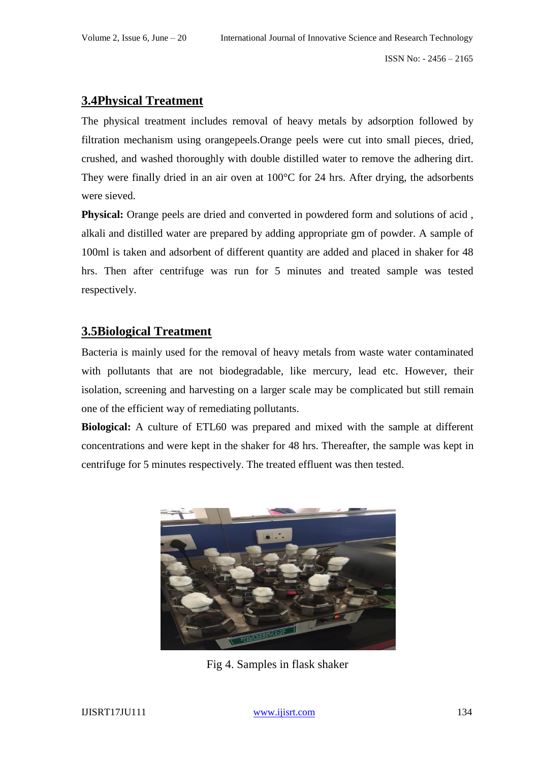### **3.4Physical Treatment**

The physical treatment includes removal of heavy metals by adsorption followed by filtration mechanism using orangepeels.Orange peels were cut into small pieces, dried, crushed, and washed thoroughly with double distilled water to remove the adhering dirt. They were finally dried in an air oven at 100°C for 24 hrs. After drying, the adsorbents were sieved.

**Physical:** Orange peels are dried and converted in powdered form and solutions of acid , alkali and distilled water are prepared by adding appropriate gm of powder. A sample of 100ml is taken and adsorbent of different quantity are added and placed in shaker for 48 hrs. Then after centrifuge was run for 5 minutes and treated sample was tested respectively.

### **3.5Biological Treatment**

Bacteria is mainly used for the removal of heavy metals from waste water contaminated with pollutants that are not biodegradable, like mercury, lead etc. However, their isolation, screening and harvesting on a larger scale may be complicated but still remain one of the efficient way of remediating pollutants.

**Biological:** A culture of ETL60 was prepared and mixed with the sample at different concentrations and were kept in the shaker for 48 hrs. Thereafter, the sample was kept in centrifuge for 5 minutes respectively. The treated effluent was then tested.



Fig 4. Samples in flask shaker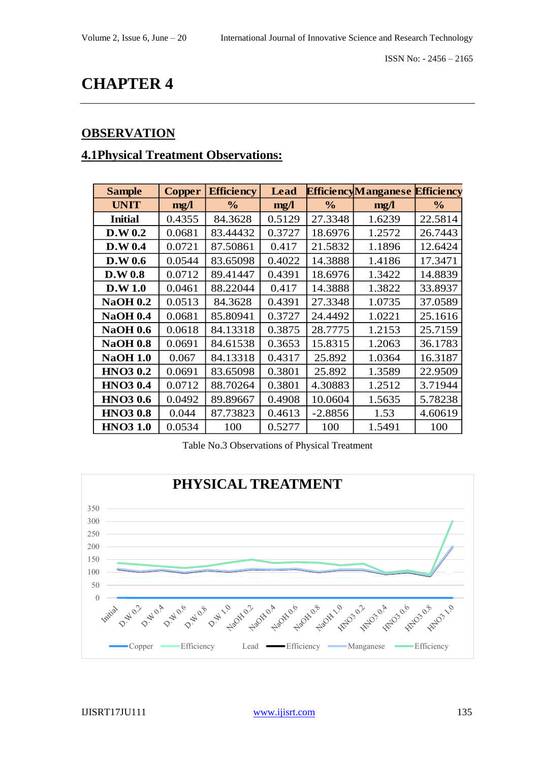# **CHAPTER 4**

## **OBSERVATION**

## **4.1Physical Treatment Observations:**

| <b>Sample</b>   | <b>Copper</b> | <b>Efficiency</b> | <b>Lead</b> |               | <b>EfficiencyManganese</b> | <b>Efficiency</b> |
|-----------------|---------------|-------------------|-------------|---------------|----------------------------|-------------------|
| <b>UNIT</b>     | mg/l          | $\frac{0}{0}$     | mg/1        | $\frac{0}{0}$ | mg/l                       | $\frac{0}{0}$     |
| <b>Initial</b>  | 0.4355        | 84.3628           | 0.5129      | 27.3348       | 1.6239                     | 22.5814           |
| D.W 0.2         | 0.0681        | 83.44432          | 0.3727      | 18.6976       | 1.2572                     | 26.7443           |
| D.W 0.4         | 0.0721        | 87.50861          | 0.417       | 21.5832       | 1.1896                     | 12.6424           |
| D.W 0.6         | 0.0544        | 83.65098          | 0.4022      | 14.3888       | 1.4186                     | 17.3471           |
| D.W 0.8         | 0.0712        | 89.41447          | 0.4391      | 18.6976       | 1.3422                     | 14.8839           |
| D.W 1.0         | 0.0461        | 88.22044          | 0.417       | 14.3888       | 1.3822                     | 33.8937           |
| <b>NaOH 0.2</b> | 0.0513        | 84.3628           | 0.4391      | 27.3348       | 1.0735                     | 37.0589           |
| <b>NaOH 0.4</b> | 0.0681        | 85.80941          | 0.3727      | 24.4492       | 1.0221                     | 25.1616           |
| <b>NaOH 0.6</b> | 0.0618        | 84.13318          | 0.3875      | 28.7775       | 1.2153                     | 25.7159           |
| <b>NaOH 0.8</b> | 0.0691        | 84.61538          | 0.3653      | 15.8315       | 1.2063                     | 36.1783           |
| <b>NaOH 1.0</b> | 0.067         | 84.13318          | 0.4317      | 25.892        | 1.0364                     | 16.3187           |
| <b>HNO3 0.2</b> | 0.0691        | 83.65098          | 0.3801      | 25.892        | 1.3589                     | 22.9509           |
| <b>HNO3 0.4</b> | 0.0712        | 88.70264          | 0.3801      | 4.30883       | 1.2512                     | 3.71944           |
| <b>HNO3 0.6</b> | 0.0492        | 89.89667          | 0.4908      | 10.0604       | 1.5635                     | 5.78238           |
| <b>HNO3 0.8</b> | 0.044         | 87.73823          | 0.4613      | $-2.8856$     | 1.53                       | 4.60619           |
| <b>HNO31.0</b>  | 0.0534        | 100               | 0.5277      | 100           | 1.5491                     | 100               |

#### Table No.3 Observations of Physical Treatment

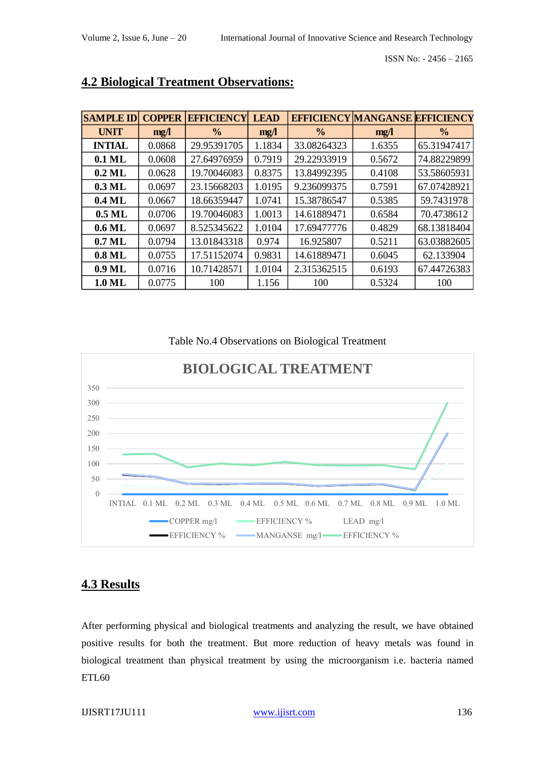| <b>SAMPLE ID</b> | <b>COPPER</b> | <b>EFFICIENCY</b> | <b>LEAD</b> | <b>EFFICIENCY MANGANSE EFFICIENCY</b> |        |               |
|------------------|---------------|-------------------|-------------|---------------------------------------|--------|---------------|
| <b>UNIT</b>      | mg/l          | $\frac{0}{0}$     | mg/l        | $\frac{0}{0}$                         | mg/    | $\frac{6}{6}$ |
| <b>INTIAL</b>    | 0.0868        | 29.95391705       | 1.1834      | 33.08264323                           | 1.6355 | 65.31947417   |
| $0.1$ ML         | 0.0608        | 27.64976959       | 0.7919      | 29.22933919                           | 0.5672 | 74.88229899   |
| $0.2$ ML         | 0.0628        | 19.70046083       | 0.8375      | 13.84992395                           | 0.4108 | 53.58605931   |
| $0.3$ ML         | 0.0697        | 23.15668203       | 1.0195      | 9.236099375                           | 0.7591 | 67.07428921   |
| $0.4$ ML         | 0.0667        | 18.66359447       | 1.0741      | 15.38786547                           | 0.5385 | 59.7431978    |
| $0.5$ ML         | 0.0706        | 19.70046083       | 1.0013      | 14.61889471                           | 0.6584 | 70.4738612    |
| $0.6$ ML         | 0.0697        | 8.525345622       | 1.0104      | 17.69477776                           | 0.4829 | 68.13818404   |
| $0.7$ ML         | 0.0794        | 13.01843318       | 0.974       | 16.925807                             | 0.5211 | 63.03882605   |
| $0.8$ ML         | 0.0755        | 17.51152074       | 0.9831      | 14.61889471                           | 0.6045 | 62.133904     |
| $0.9$ ML         | 0.0716        | 10.71428571       | 1.0104      | 2.315362515                           | 0.6193 | 67.44726383   |
| 1.0 ML           | 0.0775        | 100               | 1.156       | 100                                   | 0.5324 | 100           |

## **4.2 Biological Treatment Observations:**

Table No.4 Observations on Biological Treatment



### **4.3 Results**

After performing physical and biological treatments and analyzing the result, we have obtained positive results for both the treatment. But more reduction of heavy metals was found in biological treatment than physical treatment by using the microorganism i.e. bacteria named ETL60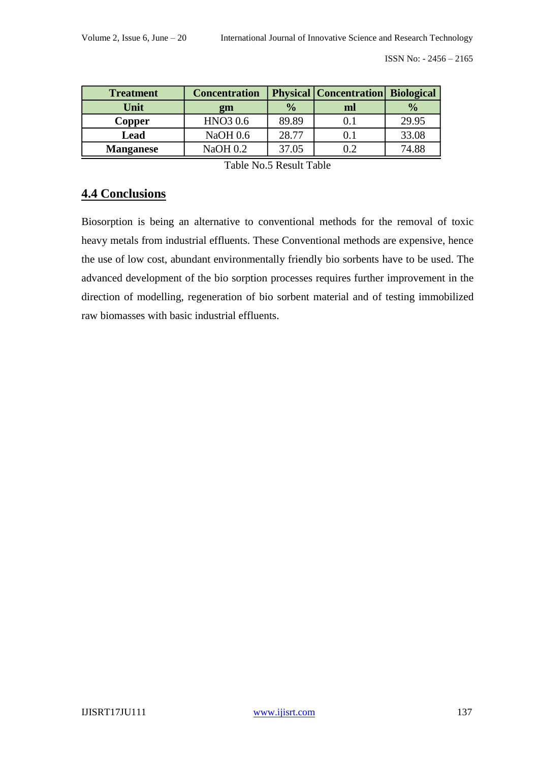| <b>Treatment</b> | <b>Concentration</b> | <b>Physical   Concentration   Biological</b> |    |               |
|------------------|----------------------|----------------------------------------------|----|---------------|
| Unit             | gm                   | $\frac{0}{0}$                                | ml | $\frac{0}{0}$ |
| Copper           | HNO <sub>3</sub> 0.6 | 89.89                                        |    | 29.95         |
| Lead             | <b>NaOH 0.6</b>      |                                              |    | 33.08         |
| <b>Manganese</b> | NaOH 0.2             | 37.05                                        |    | 74.88         |

Table No.5 Result Table

### **4.4 Conclusions**

Biosorption is being an alternative to conventional methods for the removal of toxic heavy metals from industrial effluents. These Conventional methods are expensive, hence the use of low cost, abundant environmentally friendly bio sorbents have to be used. The advanced development of the bio sorption processes requires further improvement in the direction of modelling, regeneration of bio sorbent material and of testing immobilized raw biomasses with basic industrial effluents.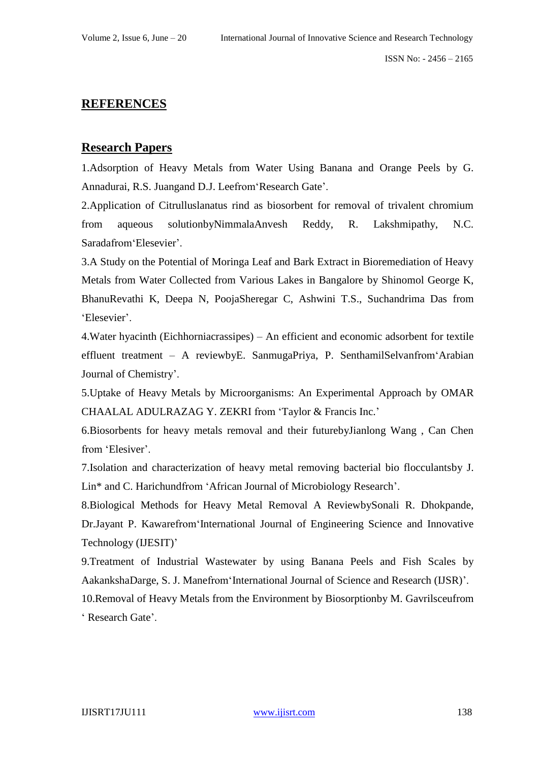### **REFERENCES**

#### **Research Papers**

1.Adsorption of Heavy Metals from Water Using Banana and Orange Peels by G. Annadurai, R.S. Juangand D.J. Leefrom'Research Gate'.

2.Application of Citrulluslanatus rind as biosorbent for removal of trivalent chromium from aqueous solutionbyNimmalaAnvesh Reddy, R. Lakshmipathy, N.C. Saradafrom'Elesevier'.

3.A Study on the Potential of Moringa Leaf and Bark Extract in Bioremediation of Heavy Metals from Water Collected from Various Lakes in Bangalore by Shinomol George K, BhanuRevathi K, Deepa N, PoojaSheregar C, Ashwini T.S., Suchandrima Das from 'Elesevier'.

4.Water hyacinth (Eichhorniacrassipes) – An efficient and economic adsorbent for textile effluent treatment – A reviewbyE. SanmugaPriya, P. SenthamilSelvanfrom'Arabian Journal of Chemistry'.

5.Uptake of Heavy Metals by Microorganisms: An Experimental Approach by OMAR CHAALAL ADULRAZAG Y. ZEKRI from 'Taylor & Francis Inc.'

6.Biosorbents for heavy metals removal and their futurebyJianlong Wang , Can Chen from 'Elesiver'.

7.Isolation and characterization of heavy metal removing bacterial bio flocculantsby J. Lin\* and C. Harichundfrom 'African Journal of Microbiology Research'.

8.Biological Methods for Heavy Metal Removal A ReviewbySonali R. Dhokpande, Dr.Jayant P. Kawarefrom'International Journal of Engineering Science and Innovative Technology (IJESIT)'

9.Treatment of Industrial Wastewater by using Banana Peels and Fish Scales by AakankshaDarge, S. J. Manefrom'International Journal of Science and Research (IJSR)'.

10.Removal of Heavy Metals from the Environment by Biosorptionby M. Gavrilsceufrom ' Research Gate'.